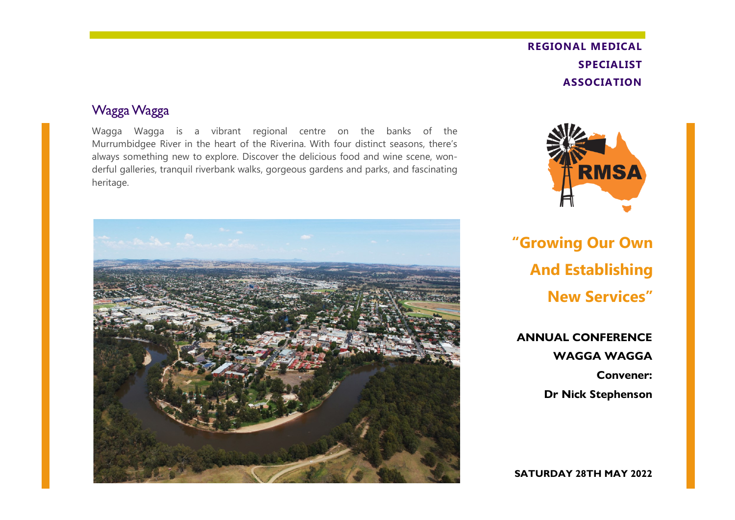## **REGIONAL MEDICAL SPECIALIST ASSOCIATION**

#### Wagga Wagga

Wagga Wagga is a vibrant regional centre on the banks of the Murrumbidgee River in the heart of the Riverina. With four distinct seasons, there's always something new to explore. Discover the delicious food and wine scene, wonderful galleries, tranquil riverbank walks, gorgeous gardens and parks, and fascinating heritage.





**"Growing Our Own And Establishing New Services"**

**ANNUAL CONFERENCE WAGGA WAGGA Convener: Dr Nick Stephenson**